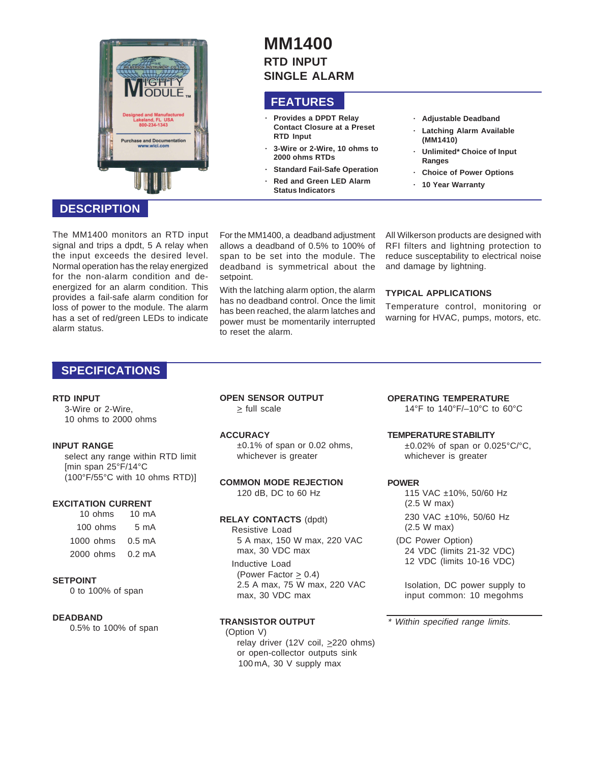

# **MM1400 RTD INPUT SINGLE ALARM**

## **FEATURES**

- **· Provides a DPDT Relay Contact Closure at a Preset RTD Input**
- **· 3-Wire or 2-Wire, 10 ohms to 2000 ohms RTDs**
- **Standard Fail-Safe Operation** 
	- **· Red and Green LED Alarm Status Indicators**
- **· Adjustable Deadband**
- **Latching Alarm Available (MM1410)**
- **· Unlimited\* Choice of Input Ranges**
- **· Choice of Power Options**
- **· 10 Year Warranty**

### **DESCRIPTION**

The MM1400 monitors an RTD input signal and trips a dpdt, 5 A relay when the input exceeds the desired level. Normal operation has the relay energized for the non-alarm condition and deenergized for an alarm condition. This provides a fail-safe alarm condition for loss of power to the module. The alarm has a set of red/green LEDs to indicate alarm status.

For the MM1400, a deadband adjustment allows a deadband of 0.5% to 100% of span to be set into the module. The deadband is symmetrical about the setpoint.

With the latching alarm option, the alarm has no deadband control. Once the limit has been reached, the alarm latches and power must be momentarily interrupted to reset the alarm.

All Wilkerson products are designed with RFI filters and lightning protection to reduce susceptability to electrical noise and damage by lightning.

### **TYPICAL APPLICATIONS**

Temperature control, monitoring or warning for HVAC, pumps, motors, etc.

## **SPECIFICATIONS**

#### **RTD INPUT**

3-Wire or 2-Wire, 10 ohms to 2000 ohms

#### **INPUT RANGE**

select any range within RTD limit [min span 25°F/14°C (100°F/55°C with 10 ohms RTD)]

#### **EXCITATION CURRENT**

 10 ohms 10 mA 100 ohms 5 mA 1000 ohms 0.5 mA 2000 ohms 0.2 mA

#### **SETPOINT**

0 to 100% of span

#### **DEADBAND**

0.5% to 100% of span

**OPEN SENSOR OUTPUT**  $\ge$  full scale

## **ACCURACY**

±0.1% of span or 0.02 ohms, whichever is greater

**COMMON MODE REJECTION** 120 dB, DC to 60 Hz

#### **RELAY CONTACTS** (dpdt)

Resistive Load 5 A max, 150 W max, 220 VAC max, 30 VDC max

Inductive Load (Power Factor > 0.4) 2.5 A max, 75 W max, 220 VAC max, 30 VDC max

### **TRANSISTOR OUTPUT**

(Option V) relay driver (12V coil,  $\geq$ 220 ohms) or open-collector outputs sink 100 mA, 30 V supply max

# **OPERATING TEMPERATURE**

14°F to 140°F/–10°C to 60°C

#### **TEMPERATURE STABILITY**

±0.02% of span or 0.025°C/°C, whichever is greater

#### **POWER**

115 VAC ±10%, 50/60 Hz (2.5 W max) 230 VAC ±10%, 50/60 Hz (2.5 W max)

(DC Power Option) 24 VDC (limits 21-32 VDC) 12 VDC (limits 10-16 VDC)

Isolation, DC power supply to input common: 10 megohms

\* Within specified range limits.